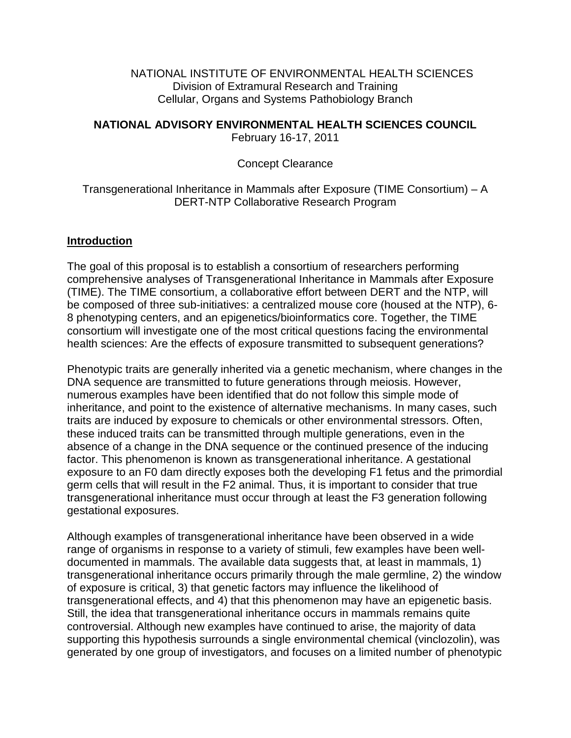NATIONAL INSTITUTE OF ENVIRONMENTAL HEALTH SCIENCES Division of Extramural Research and Training Cellular, Organs and Systems Pathobiology Branch

# **NATIONAL ADVISORY ENVIRONMENTAL HEALTH SCIENCES COUNCIL**

February 16-17, 2011

## Concept Clearance

## Transgenerational Inheritance in Mammals after Exposure (TIME Consortium) – A DERT-NTP Collaborative Research Program

#### **Introduction**

The goal of this proposal is to establish a consortium of researchers performing comprehensive analyses of Transgenerational Inheritance in Mammals after Exposure (TIME). The TIME consortium, a collaborative effort between DERT and the NTP, will be composed of three sub-initiatives: a centralized mouse core (housed at the NTP), 6- 8 phenotyping centers, and an epigenetics/bioinformatics core. Together, the TIME consortium will investigate one of the most critical questions facing the environmental health sciences: Are the effects of exposure transmitted to subsequent generations?

Phenotypic traits are generally inherited via a genetic mechanism, where changes in the DNA sequence are transmitted to future generations through meiosis. However, numerous examples have been identified that do not follow this simple mode of inheritance, and point to the existence of alternative mechanisms. In many cases, such traits are induced by exposure to chemicals or other environmental stressors. Often, these induced traits can be transmitted through multiple generations, even in the absence of a change in the DNA sequence or the continued presence of the inducing factor. This phenomenon is known as transgenerational inheritance. A gestational exposure to an F0 dam directly exposes both the developing F1 fetus and the primordial germ cells that will result in the F2 animal. Thus, it is important to consider that true transgenerational inheritance must occur through at least the F3 generation following gestational exposures.

Although examples of transgenerational inheritance have been observed in a wide range of organisms in response to a variety of stimuli, few examples have been welldocumented in mammals. The available data suggests that, at least in mammals, 1) transgenerational inheritance occurs primarily through the male germline, 2) the window of exposure is critical, 3) that genetic factors may influence the likelihood of transgenerational effects, and 4) that this phenomenon may have an epigenetic basis. Still, the idea that transgenerational inheritance occurs in mammals remains quite controversial. Although new examples have continued to arise, the majority of data supporting this hypothesis surrounds a single environmental chemical (vinclozolin), was generated by one group of investigators, and focuses on a limited number of phenotypic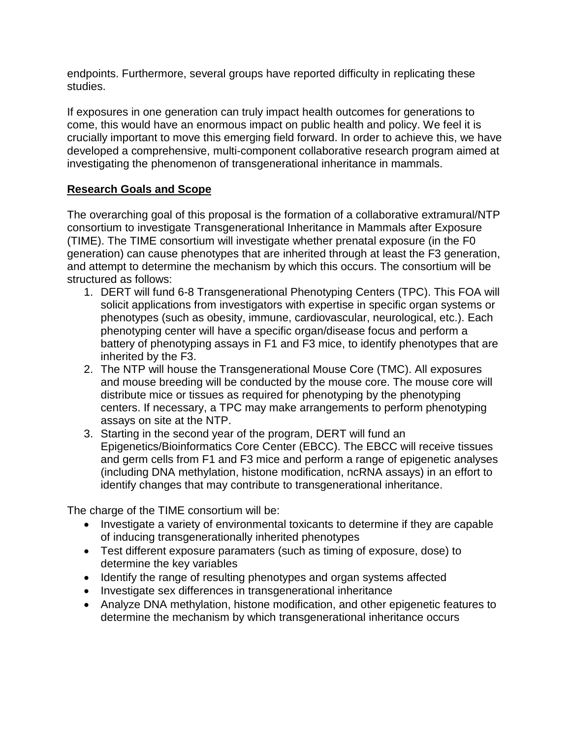endpoints. Furthermore, several groups have reported difficulty in replicating these studies.

If exposures in one generation can truly impact health outcomes for generations to come, this would have an enormous impact on public health and policy. We feel it is crucially important to move this emerging field forward. In order to achieve this, we have developed a comprehensive, multi-component collaborative research program aimed at investigating the phenomenon of transgenerational inheritance in mammals.

# **Research Goals and Scope**

The overarching goal of this proposal is the formation of a collaborative extramural/NTP consortium to investigate Transgenerational Inheritance in Mammals after Exposure (TIME). The TIME consortium will investigate whether prenatal exposure (in the F0 generation) can cause phenotypes that are inherited through at least the F3 generation, and attempt to determine the mechanism by which this occurs. The consortium will be structured as follows:

- 1. DERT will fund 6-8 Transgenerational Phenotyping Centers (TPC). This FOA will solicit applications from investigators with expertise in specific organ systems or phenotypes (such as obesity, immune, cardiovascular, neurological, etc.). Each phenotyping center will have a specific organ/disease focus and perform a battery of phenotyping assays in F1 and F3 mice, to identify phenotypes that are inherited by the F3.
- 2. The NTP will house the Transgenerational Mouse Core (TMC). All exposures and mouse breeding will be conducted by the mouse core. The mouse core will distribute mice or tissues as required for phenotyping by the phenotyping centers. If necessary, a TPC may make arrangements to perform phenotyping assays on site at the NTP.
- 3. Starting in the second year of the program, DERT will fund an Epigenetics/Bioinformatics Core Center (EBCC). The EBCC will receive tissues and germ cells from F1 and F3 mice and perform a range of epigenetic analyses (including DNA methylation, histone modification, ncRNA assays) in an effort to identify changes that may contribute to transgenerational inheritance.

The charge of the TIME consortium will be:

- Investigate a variety of environmental toxicants to determine if they are capable of inducing transgenerationally inherited phenotypes
- Test different exposure paramaters (such as timing of exposure, dose) to determine the key variables
- Identify the range of resulting phenotypes and organ systems affected
- Investigate sex differences in transgenerational inheritance
- Analyze DNA methylation, histone modification, and other epigenetic features to determine the mechanism by which transgenerational inheritance occurs